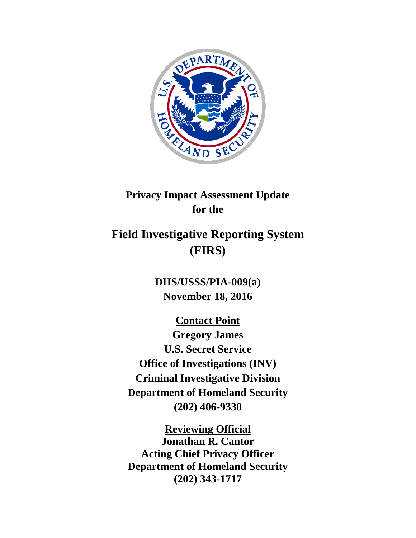

# **Privacy Impact Assessment Update for the**

# **Field Investigative Reporting System (FIRS)**

**DHS/USSS/PIA-009(a) November 18, 2016**

**Contact Point Gregory James U.S. Secret Service Office of Investigations (INV) Criminal Investigative Division Department of Homeland Security (202) 406-9330**

**Reviewing Official Jonathan R. Cantor Acting Chief Privacy Officer Department of Homeland Security (202) 343-1717**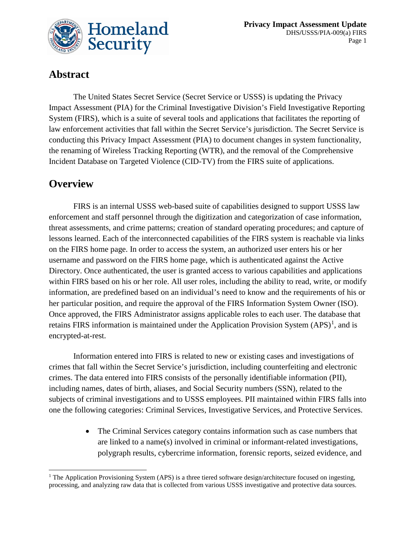

### **Abstract**

The United States Secret Service (Secret Service or USSS) is updating the Privacy Impact Assessment (PIA) for the Criminal Investigative Division's Field Investigative Reporting System (FIRS), which is a suite of several tools and applications that facilitates the reporting of law enforcement activities that fall within the Secret Service's jurisdiction. The Secret Service is conducting this Privacy Impact Assessment (PIA) to document changes in system functionality, the renaming of Wireless Tracking Reporting (WTR), and the removal of the Comprehensive Incident Database on Targeted Violence (CID-TV) from the FIRS suite of applications.

### **Overview**

 $\overline{a}$ 

FIRS is an internal USSS web-based suite of capabilities designed to support USSS law enforcement and staff personnel through the digitization and categorization of case information, threat assessments, and crime patterns; creation of standard operating procedures; and capture of lessons learned. Each of the interconnected capabilities of the FIRS system is reachable via links on the FIRS home page. In order to access the system, an authorized user enters his or her username and password on the FIRS home page, which is authenticated against the Active Directory. Once authenticated, the user is granted access to various capabilities and applications within FIRS based on his or her role. All user roles, including the ability to read, write, or modify information, are predefined based on an individual's need to know and the requirements of his or her particular position, and require the approval of the FIRS Information System Owner (ISO). Once approved, the FIRS Administrator assigns applicable roles to each user. The database that retains FIRS information is maintained under the Application Provision System  $(APS)^1$  $(APS)^1$ , and is encrypted-at-rest.

Information entered into FIRS is related to new or existing cases and investigations of crimes that fall within the Secret Service's jurisdiction, including counterfeiting and electronic crimes. The data entered into FIRS consists of the personally identifiable information (PII), including names, dates of birth, aliases, and Social Security numbers (SSN), related to the subjects of criminal investigations and to USSS employees. PII maintained within FIRS falls into one the following categories: Criminal Services, Investigative Services, and Protective Services.

> • The Criminal Services category contains information such as case numbers that are linked to a name(s) involved in criminal or informant-related investigations, polygraph results, cybercrime information, forensic reports, seized evidence, and

<span id="page-1-0"></span><sup>&</sup>lt;sup>1</sup> The Application Provisioning System (APS) is a three tiered software design/architecture focused on ingesting, processing, and analyzing raw data that is collected from various USSS investigative and protective data sources.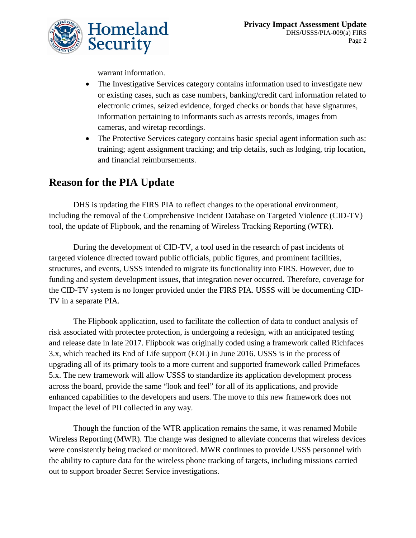

warrant information.

- The Investigative Services category contains information used to investigate new or existing cases, such as case numbers, banking/credit card information related to electronic crimes, seized evidence, forged checks or bonds that have signatures, information pertaining to informants such as arrests records, images from cameras, and wiretap recordings.
- The Protective Services category contains basic special agent information such as: training; agent assignment tracking; and trip details, such as lodging, trip location, and financial reimbursements.

## **Reason for the PIA Update**

DHS is updating the FIRS PIA to reflect changes to the operational environment, including the removal of the Comprehensive Incident Database on Targeted Violence (CID-TV) tool, the update of Flipbook, and the renaming of Wireless Tracking Reporting (WTR).

During the development of CID-TV, a tool used in the research of past incidents of targeted violence directed toward public officials, public figures, and prominent facilities, structures, and events, USSS intended to migrate its functionality into FIRS. However, due to funding and system development issues, that integration never occurred. Therefore, coverage for the CID-TV system is no longer provided under the FIRS PIA. USSS will be documenting CID-TV in a separate PIA.

The Flipbook application, used to facilitate the collection of data to conduct analysis of risk associated with protectee protection, is undergoing a redesign, with an anticipated testing and release date in late 2017. Flipbook was originally coded using a framework called Richfaces 3.x, which reached its End of Life support (EOL) in June 2016. USSS is in the process of upgrading all of its primary tools to a more current and supported framework called Primefaces 5.x. The new framework will allow USSS to standardize its application development process across the board, provide the same "look and feel" for all of its applications, and provide enhanced capabilities to the developers and users. The move to this new framework does not impact the level of PII collected in any way.

Though the function of the WTR application remains the same, it was renamed Mobile Wireless Reporting (MWR). The change was designed to alleviate concerns that wireless devices were consistently being tracked or monitored. MWR continues to provide USSS personnel with the ability to capture data for the wireless phone tracking of targets, including missions carried out to support broader Secret Service investigations.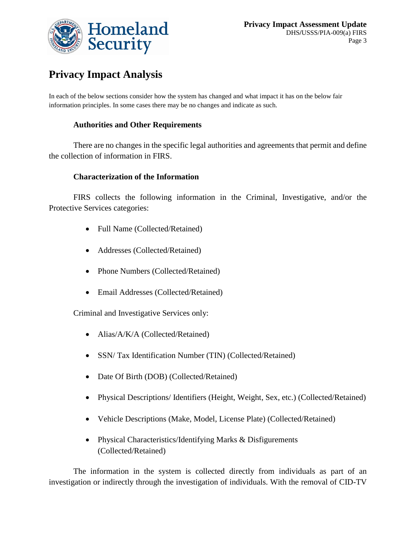

# **Privacy Impact Analysis**

In each of the below sections consider how the system has changed and what impact it has on the below fair information principles. In some cases there may be no changes and indicate as such.

#### **Authorities and Other Requirements**

There are no changes in the specific legal authorities and agreements that permit and define the collection of information in FIRS.

#### **Characterization of the Information**

FIRS collects the following information in the Criminal, Investigative, and/or the Protective Services categories:

- Full Name (Collected/Retained)
- Addresses (Collected/Retained)
- Phone Numbers (Collected/Retained)
- Email Addresses (Collected/Retained)

Criminal and Investigative Services only:

- Alias/A/K/A (Collected/Retained)
- SSN/Tax Identification Number (TIN) (Collected/Retained)
- Date Of Birth (DOB) (Collected/Retained)
- Physical Descriptions/ Identifiers (Height, Weight, Sex, etc.) (Collected/Retained)
- Vehicle Descriptions (Make, Model, License Plate) (Collected/Retained)
- Physical Characteristics/Identifying Marks & Disfigurements (Collected/Retained)

The information in the system is collected directly from individuals as part of an investigation or indirectly through the investigation of individuals. With the removal of CID-TV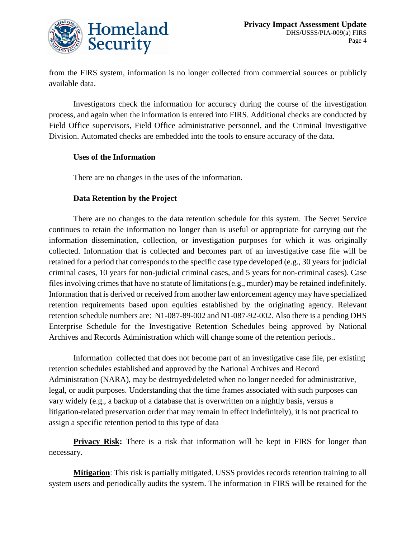

from the FIRS system, information is no longer collected from commercial sources or publicly available data.

Investigators check the information for accuracy during the course of the investigation process, and again when the information is entered into FIRS. Additional checks are conducted by Field Office supervisors, Field Office administrative personnel, and the Criminal Investigative Division. Automated checks are embedded into the tools to ensure accuracy of the data.

#### **Uses of the Information**

There are no changes in the uses of the information.

#### **Data Retention by the Project**

There are no changes to the data retention schedule for this system. The Secret Service continues to retain the information no longer than is useful or appropriate for carrying out the information dissemination, collection, or investigation purposes for which it was originally collected. Information that is collected and becomes part of an investigative case file will be retained for a period that corresponds to the specific case type developed (e.g., 30 years for judicial criminal cases, 10 years for non-judicial criminal cases, and 5 years for non-criminal cases). Case files involving crimes that have no statute of limitations (e.g., murder) may be retained indefinitely. Information that is derived or received from another law enforcement agency may have specialized retention requirements based upon equities established by the originating agency. Relevant retention schedule numbers are: N1-087-89-002 and N1-087-92-002. Also there is a pending DHS Enterprise Schedule for the Investigative Retention Schedules being approved by National Archives and Records Administration which will change some of the retention periods..

Information collected that does not become part of an investigative case file, per existing retention schedules established and approved by the National Archives and Record Administration (NARA), may be destroyed/deleted when no longer needed for administrative, legal, or audit purposes. Understanding that the time frames associated with such purposes can vary widely (e.g., a backup of a database that is overwritten on a nightly basis, versus a litigation-related preservation order that may remain in effect indefinitely), it is not practical to assign a specific retention period to this type of data

**Privacy Risk:** There is a risk that information will be kept in FIRS for longer than necessary.

**Mitigation**: This risk is partially mitigated. USSS provides records retention training to all system users and periodically audits the system. The information in FIRS will be retained for the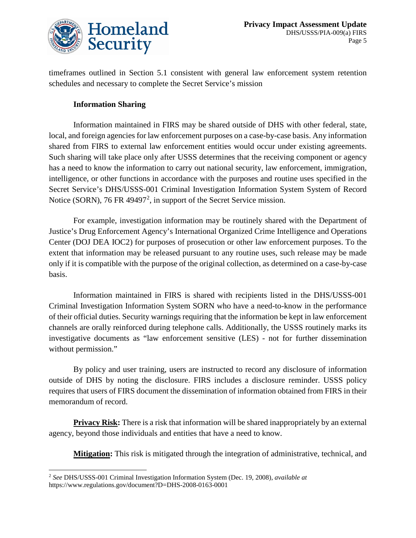

timeframes outlined in Section 5.1 consistent with general law enforcement system retention schedules and necessary to complete the Secret Service's mission

#### **Information Sharing**

Information maintained in FIRS may be shared outside of DHS with other federal, state, local, and foreign agencies for law enforcement purposes on a case-by-case basis. Any information shared from FIRS to external law enforcement entities would occur under existing agreements. Such sharing will take place only after USSS determines that the receiving component or agency has a need to know the information to carry out national security, law enforcement, immigration, intelligence, or other functions in accordance with the purposes and routine uses specified in the Secret Service's DHS/USSS-001 Criminal Investigation Information System System of Record Notice (SORN), 76 FR 49497<sup>[2](#page-5-0)</sup>, in support of the Secret Service mission.

For example, investigation information may be routinely shared with the Department of Justice's Drug Enforcement Agency's International Organized Crime Intelligence and Operations Center (DOJ DEA IOC2) for purposes of prosecution or other law enforcement purposes. To the extent that information may be released pursuant to any routine uses, such release may be made only if it is compatible with the purpose of the original collection, as determined on a case-by-case basis.

Information maintained in FIRS is shared with recipients listed in the DHS/USSS-001 Criminal Investigation Information System SORN who have a need-to-know in the performance of their official duties. Security warnings requiring that the information be kept in law enforcement channels are orally reinforced during telephone calls. Additionally, the USSS routinely marks its investigative documents as "law enforcement sensitive (LES) - not for further dissemination without permission."

By policy and user training, users are instructed to record any disclosure of information outside of DHS by noting the disclosure. FIRS includes a disclosure reminder. USSS policy requires that users of FIRS document the dissemination of information obtained from FIRS in their memorandum of record.

**Privacy Risk:** There is a risk that information will be shared inappropriately by an external agency, beyond those individuals and entities that have a need to know.

**Mitigation:** This risk is mitigated through the integration of administrative, technical, and

 $\overline{a}$ 

<span id="page-5-0"></span><sup>2</sup> *See* DHS/USSS-001 Criminal Investigation Information System (Dec. 19, 2008), *available at* https://www.regulations.gov/document?D=DHS-2008-0163-0001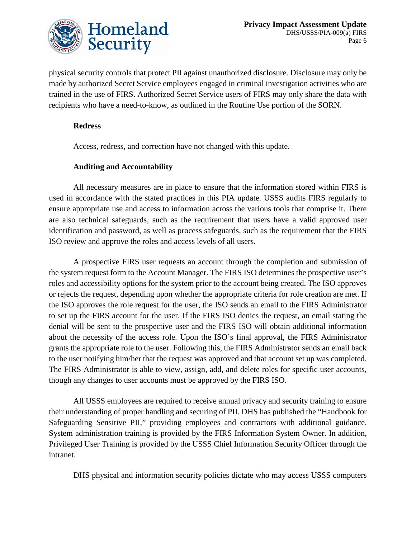

physical security controls that protect PII against unauthorized disclosure. Disclosure may only be made by authorized Secret Service employees engaged in criminal investigation activities who are trained in the use of FIRS. Authorized Secret Service users of FIRS may only share the data with recipients who have a need-to-know, as outlined in the Routine Use portion of the SORN.

#### **Redress**

Access, redress, and correction have not changed with this update.

#### **Auditing and Accountability**

All necessary measures are in place to ensure that the information stored within FIRS is used in accordance with the stated practices in this PIA update. USSS audits FIRS regularly to ensure appropriate use and access to information across the various tools that comprise it. There are also technical safeguards, such as the requirement that users have a valid approved user identification and password, as well as process safeguards, such as the requirement that the FIRS ISO review and approve the roles and access levels of all users.

A prospective FIRS user requests an account through the completion and submission of the system request form to the Account Manager. The FIRS ISO determines the prospective user's roles and accessibility options for the system prior to the account being created. The ISO approves or rejects the request, depending upon whether the appropriate criteria for role creation are met. If the ISO approves the role request for the user, the ISO sends an email to the FIRS Administrator to set up the FIRS account for the user. If the FIRS ISO denies the request, an email stating the denial will be sent to the prospective user and the FIRS ISO will obtain additional information about the necessity of the access role. Upon the ISO's final approval, the FIRS Administrator grants the appropriate role to the user. Following this, the FIRS Administrator sends an email back to the user notifying him/her that the request was approved and that account set up was completed. The FIRS Administrator is able to view, assign, add, and delete roles for specific user accounts, though any changes to user accounts must be approved by the FIRS ISO.

All USSS employees are required to receive annual privacy and security training to ensure their understanding of proper handling and securing of PII. DHS has published the "Handbook for Safeguarding Sensitive PII," providing employees and contractors with additional guidance. System administration training is provided by the FIRS Information System Owner. In addition, Privileged User Training is provided by the USSS Chief Information Security Officer through the intranet.

DHS physical and information security policies dictate who may access USSS computers